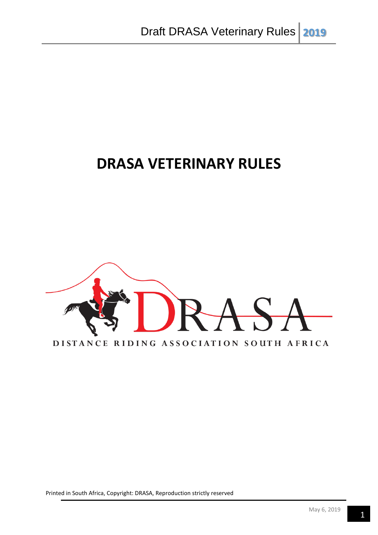# **DRASA VETERINARY RULES**

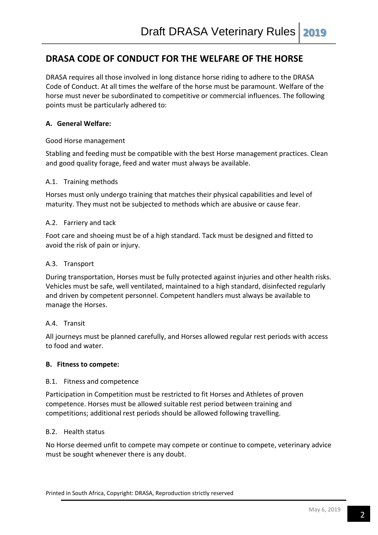# **DRASA CODE OF CONDUCT FOR THE WELFARE OF THE HORSE**

DRASA requires all those involved in long distance horse riding to adhere to the DRASA Code of Conduct. At all times the welfare of the horse must be paramount. Welfare of the horse must never be subordinated to competitive or commercial influences. The following points must be particularly adhered to:

## **A. General Welfare:**

Good Horse management

Stabling and feeding must be compatible with the best Horse management practices. Clean and good quality forage, feed and water must always be available.

#### A.1. Training methods

Horses must only undergo training that matches their physical capabilities and level of maturity. They must not be subjected to methods which are abusive or cause fear.

#### A.2. Farriery and tack

Foot care and shoeing must be of a high standard. Tack must be designed and fitted to avoid the risk of pain or injury.

#### A.3. Transport

During transportation, Horses must be fully protected against injuries and other health risks. Vehicles must be safe, well ventilated, maintained to a high standard, disinfected regularly and driven by competent personnel. Competent handlers must always be available to manage the Horses.

#### A.4. Transit

All journeys must be planned carefully, and Horses allowed regular rest periods with access to food and water.

#### **B. Fitness to compete:**

#### B.1. Fitness and competence

Participation in Competition must be restricted to fit Horses and Athletes of proven competence. Horses must be allowed suitable rest period between training and competitions; additional rest periods should be allowed following travelling.

#### B.2. Health status

No Horse deemed unfit to compete may compete or continue to compete, veterinary advice must be sought whenever there is any doubt.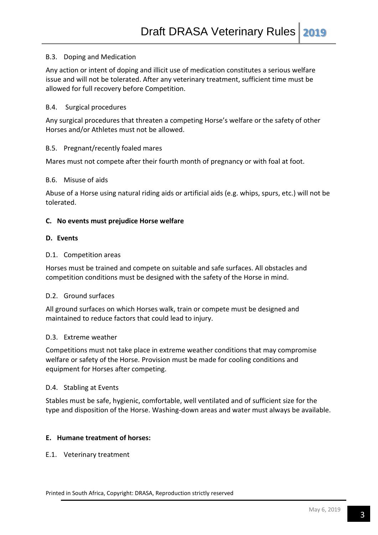#### B.3. Doping and Medication

Any action or intent of doping and illicit use of medication constitutes a serious welfare issue and will not be tolerated. After any veterinary treatment, sufficient time must be allowed for full recovery before Competition.

#### B.4. Surgical procedures

Any surgical procedures that threaten a competing Horse's welfare or the safety of other Horses and/or Athletes must not be allowed.

#### B.5. Pregnant/recently foaled mares

Mares must not compete after their fourth month of pregnancy or with foal at foot.

#### B.6. Misuse of aids

Abuse of a Horse using natural riding aids or artificial aids (e.g. whips, spurs, etc.) will not be tolerated.

#### **C. No events must prejudice Horse welfare**

#### **D. Events**

#### D.1. Competition areas

Horses must be trained and compete on suitable and safe surfaces. All obstacles and competition conditions must be designed with the safety of the Horse in mind.

#### D.2. Ground surfaces

All ground surfaces on which Horses walk, train or compete must be designed and maintained to reduce factors that could lead to injury.

#### D.3. Extreme weather

Competitions must not take place in extreme weather conditions that may compromise welfare or safety of the Horse. Provision must be made for cooling conditions and equipment for Horses after competing.

#### D.4. Stabling at Events

Stables must be safe, hygienic, comfortable, well ventilated and of sufficient size for the type and disposition of the Horse. Washing-down areas and water must always be available.

#### **E. Humane treatment of horses:**

#### E.1. Veterinary treatment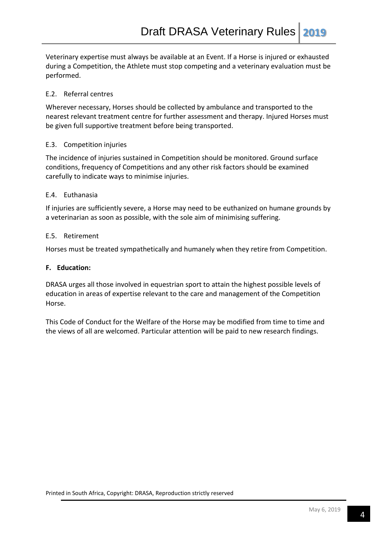Veterinary expertise must always be available at an Event. If a Horse is injured or exhausted during a Competition, the Athlete must stop competing and a veterinary evaluation must be performed.

## E.2. Referral centres

Wherever necessary, Horses should be collected by ambulance and transported to the nearest relevant treatment centre for further assessment and therapy. Injured Horses must be given full supportive treatment before being transported.

#### E.3. Competition injuries

The incidence of injuries sustained in Competition should be monitored. Ground surface conditions, frequency of Competitions and any other risk factors should be examined carefully to indicate ways to minimise injuries.

#### E.4. Euthanasia

If injuries are sufficiently severe, a Horse may need to be euthanized on humane grounds by a veterinarian as soon as possible, with the sole aim of minimising suffering.

## E.5. Retirement

Horses must be treated sympathetically and humanely when they retire from Competition.

#### **F. Education:**

DRASA urges all those involved in equestrian sport to attain the highest possible levels of education in areas of expertise relevant to the care and management of the Competition Horse.

This Code of Conduct for the Welfare of the Horse may be modified from time to time and the views of all are welcomed. Particular attention will be paid to new research findings.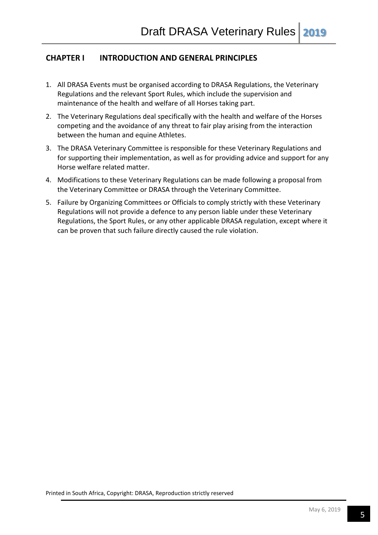# **CHAPTER I INTRODUCTION AND GENERAL PRINCIPLES**

- 1. All DRASA Events must be organised according to DRASA Regulations, the Veterinary Regulations and the relevant Sport Rules, which include the supervision and maintenance of the health and welfare of all Horses taking part.
- 2. The Veterinary Regulations deal specifically with the health and welfare of the Horses competing and the avoidance of any threat to fair play arising from the interaction between the human and equine Athletes.
- 3. The DRASA Veterinary Committee is responsible for these Veterinary Regulations and for supporting their implementation, as well as for providing advice and support for any Horse welfare related matter.
- 4. Modifications to these Veterinary Regulations can be made following a proposal from the Veterinary Committee or DRASA through the Veterinary Committee.
- 5. Failure by Organizing Committees or Officials to comply strictly with these Veterinary Regulations will not provide a defence to any person liable under these Veterinary Regulations, the Sport Rules, or any other applicable DRASA regulation, except where it can be proven that such failure directly caused the rule violation.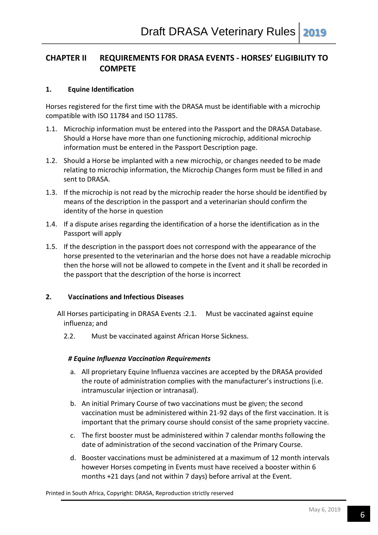# **CHAPTER II REQUIREMENTS FOR DRASA EVENTS - HORSES' ELIGIBILITY TO COMPETE**

#### **1. Equine Identification**

Horses registered for the first time with the DRASA must be identifiable with a microchip compatible with ISO 11784 and ISO 11785.

- 1.1. Microchip information must be entered into the Passport and the DRASA Database. Should a Horse have more than one functioning microchip, additional microchip information must be entered in the Passport Description page.
- 1.2. Should a Horse be implanted with a new microchip, or changes needed to be made relating to microchip information, the Microchip Changes form must be filled in and sent to DRASA.
- 1.3. If the microchip is not read by the microchip reader the horse should be identified by means of the description in the passport and a veterinarian should confirm the identity of the horse in question
- 1.4. If a dispute arises regarding the identification of a horse the identification as in the Passport will apply
- 1.5. If the description in the passport does not correspond with the appearance of the horse presented to the veterinarian and the horse does not have a readable microchip then the horse will not be allowed to compete in the Event and it shall be recorded in the passport that the description of the horse is incorrect

#### **2. Vaccinations and Infectious Diseases**

All Horses participating in DRASA Events :2.1. Must be vaccinated against equine influenza; and

2.2. Must be vaccinated against African Horse Sickness.

#### *# Equine Influenza Vaccination Requirements*

- a. All proprietary Equine Influenza vaccines are accepted by the DRASA provided the route of administration complies with the manufacturer's instructions (i.e. intramuscular injection or intranasal).
- b. An initial Primary Course of two vaccinations must be given; the second vaccination must be administered within 21-92 days of the first vaccination. It is important that the primary course should consist of the same propriety vaccine.
- c. The first booster must be administered within 7 calendar months following the date of administration of the second vaccination of the Primary Course.
- d. Booster vaccinations must be administered at a maximum of 12 month intervals however Horses competing in Events must have received a booster within 6 months +21 days (and not within 7 days) before arrival at the Event.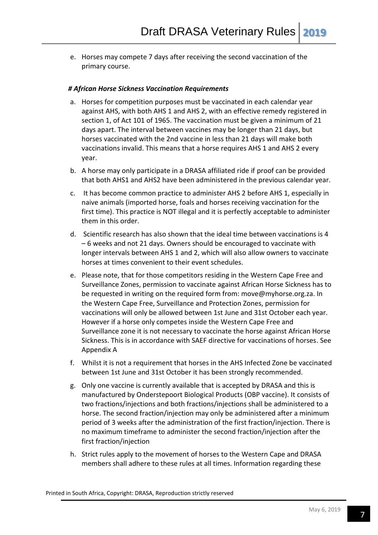e. Horses may compete 7 days after receiving the second vaccination of the primary course.

#### *# African Horse Sickness Vaccination Requirements*

- a. Horses for competition purposes must be vaccinated in each calendar year against AHS, with both AHS 1 and AHS 2, with an effective remedy registered in section 1, of Act 101 of 1965. The vaccination must be given a minimum of 21 days apart. The interval between vaccines may be longer than 21 days, but horses vaccinated with the 2nd vaccine in less than 21 days will make both vaccinations invalid. This means that a horse requires AHS 1 and AHS 2 every year.
- b. A horse may only participate in a DRASA affiliated ride if proof can be provided that both AHS1 and AHS2 have been administered in the previous calendar year.
- c. It has become common practice to administer AHS 2 before AHS 1, especially in naive animals (imported horse, foals and horses receiving vaccination for the first time). This practice is NOT illegal and it is perfectly acceptable to administer them in this order.
- d. Scientific research has also shown that the ideal time between vaccinations is 4 – 6 weeks and not 21 days. Owners should be encouraged to vaccinate with longer intervals between AHS 1 and 2, which will also allow owners to vaccinate horses at times convenient to their event schedules.
- e. Please note, that for those competitors residing in the Western Cape Free and Surveillance Zones, permission to vaccinate against African Horse Sickness has to be requested in writing on the required form from: move@myhorse.org.za. In the Western Cape Free, Surveillance and Protection Zones, permission for vaccinations will only be allowed between 1st June and 31st October each year. However if a horse only competes inside the Western Cape Free and Surveillance zone it is not necessary to vaccinate the horse against African Horse Sickness. This is in accordance with SAEF directive for vaccinations of horses. See Appendix A
- f. Whilst it is not a requirement that horses in the AHS Infected Zone be vaccinated between 1st June and 31st October it has been strongly recommended.
- g. Only one vaccine is currently available that is accepted by DRASA and this is manufactured by Onderstepoort Biological Products (OBP vaccine). It consists of two fractions/injections and both fractions/injections shall be administered to a horse. The second fraction/injection may only be administered after a minimum period of 3 weeks after the administration of the first fraction/injection. There is no maximum timeframe to administer the second fraction/injection after the first fraction/injection
- h. Strict rules apply to the movement of horses to the Western Cape and DRASA members shall adhere to these rules at all times. Information regarding these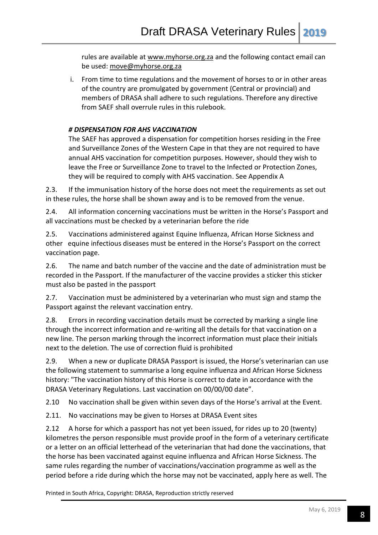rules are available at [www.myhorse.org.za](http://www.myhorse.org.za/) and the following contact email can be used: [move@myhorse.org.za](mailto:move@myhorse.org.za)

i. From time to time regulations and the movement of horses to or in other areas of the country are promulgated by government (Central or provincial) and members of DRASA shall adhere to such regulations. Therefore any directive from SAEF shall overrule rules in this rulebook.

# *# DISPENSATION FOR AHS VACCINATION*

The SAEF has approved a dispensation for competition horses residing in the Free and Surveillance Zones of the Western Cape in that they are not required to have annual AHS vaccination for competition purposes. However, should they wish to leave the Free or Surveillance Zone to travel to the Infected or Protection Zones, they will be required to comply with AHS vaccination. See Appendix A

2.3. If the immunisation history of the horse does not meet the requirements as set out in these rules, the horse shall be shown away and is to be removed from the venue.

2.4. All information concerning vaccinations must be written in the Horse's Passport and all vaccinations must be checked by a veterinarian before the ride

2.5. Vaccinations administered against Equine Influenza, African Horse Sickness and other equine infectious diseases must be entered in the Horse's Passport on the correct vaccination page.

2.6. The name and batch number of the vaccine and the date of administration must be recorded in the Passport. If the manufacturer of the vaccine provides a sticker this sticker must also be pasted in the passport

2.7. Vaccination must be administered by a veterinarian who must sign and stamp the Passport against the relevant vaccination entry.

2.8. Errors in recording vaccination details must be corrected by marking a single line through the incorrect information and re-writing all the details for that vaccination on a new line. The person marking through the incorrect information must place their initials next to the deletion. The use of correction fluid is prohibited

2.9. When a new or duplicate DRASA Passport is issued, the Horse's veterinarian can use the following statement to summarise a long equine influenza and African Horse Sickness history: "The vaccination history of this Horse is correct to date in accordance with the DRASA Veterinary Regulations. Last vaccination on 00/00/00 date".

2.10 No vaccination shall be given within seven days of the Horse's arrival at the Event.

2.11. No vaccinations may be given to Horses at DRASA Event sites

2.12 A horse for which a passport has not yet been issued, for rides up to 20 (twenty) kilometres the person responsible must provide proof in the form of a veterinary certificate or a letter on an official letterhead of the veterinarian that had done the vaccinations, that the horse has been vaccinated against equine influenza and African Horse Sickness. The same rules regarding the number of vaccinations/vaccination programme as well as the period before a ride during which the horse may not be vaccinated, apply here as well. The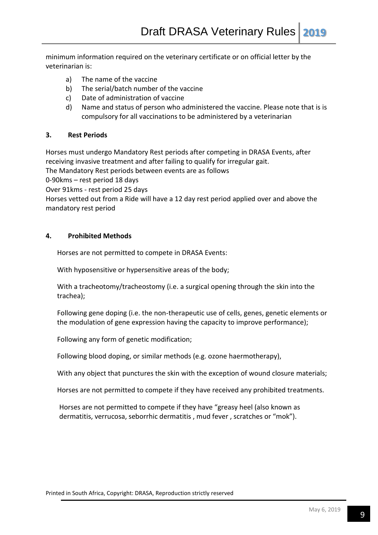minimum information required on the veterinary certificate or on official letter by the veterinarian is:

- a) The name of the vaccine
- b) The serial/batch number of the vaccine
- c) Date of administration of vaccine
- d) Name and status of person who administered the vaccine. Please note that is is compulsory for all vaccinations to be administered by a veterinarian

#### **3. Rest Periods**

Horses must undergo Mandatory Rest periods after competing in DRASA Events, after receiving invasive treatment and after failing to qualify for irregular gait. The Mandatory Rest periods between events are as follows 0-90kms – rest period 18 days Over 91kms - rest period 25 days Horses vetted out from a Ride will have a 12 day rest period applied over and above the mandatory rest period

#### **4. Prohibited Methods**

Horses are not permitted to compete in DRASA Events:

With hyposensitive or hypersensitive areas of the body;

With a tracheotomy/tracheostomy (i.e. a surgical opening through the skin into the trachea);

Following gene doping (i.e. the non-therapeutic use of cells, genes, genetic elements or the modulation of gene expression having the capacity to improve performance);

Following any form of genetic modification;

Following blood doping, or similar methods (e.g. ozone haermotherapy),

With any object that punctures the skin with the exception of wound closure materials;

Horses are not permitted to compete if they have received any prohibited treatments.

Horses are not permitted to compete if they have "greasy heel (also known as dermatitis, verrucosa, seborrhic dermatitis , mud fever , scratches or "mok").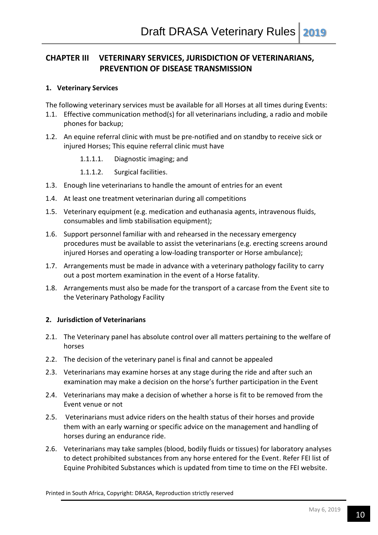# **CHAPTER III VETERINARY SERVICES, JURISDICTION OF VETERINARIANS, PREVENTION OF DISEASE TRANSMISSION**

## **1. Veterinary Services**

The following veterinary services must be available for all Horses at all times during Events:

- 1.1. Effective communication method(s) for all veterinarians including, a radio and mobile phones for backup;
- 1.2. An equine referral clinic with must be pre-notified and on standby to receive sick or injured Horses; This equine referral clinic must have
	- 1.1.1.1. Diagnostic imaging; and
	- 1.1.1.2. Surgical facilities.
- 1.3. Enough line veterinarians to handle the amount of entries for an event
- 1.4. At least one treatment veterinarian during all competitions
- 1.5. Veterinary equipment (e.g. medication and euthanasia agents, intravenous fluids, consumables and limb stabilisation equipment);
- 1.6. Support personnel familiar with and rehearsed in the necessary emergency procedures must be available to assist the veterinarians (e.g. erecting screens around injured Horses and operating a low-loading transporter or Horse ambulance);
- 1.7. Arrangements must be made in advance with a veterinary pathology facility to carry out a post mortem examination in the event of a Horse fatality.
- 1.8. Arrangements must also be made for the transport of a carcase from the Event site to the Veterinary Pathology Facility

# **2. Jurisdiction of Veterinarians**

- 2.1. The Veterinary panel has absolute control over all matters pertaining to the welfare of horses
- 2.2. The decision of the veterinary panel is final and cannot be appealed
- 2.3. Veterinarians may examine horses at any stage during the ride and after such an examination may make a decision on the horse's further participation in the Event
- 2.4. Veterinarians may make a decision of whether a horse is fit to be removed from the Event venue or not
- 2.5. Veterinarians must advice riders on the health status of their horses and provide them with an early warning or specific advice on the management and handling of horses during an endurance ride.
- 2.6. Veterinarians may take samples (blood, bodily fluids or tissues) for laboratory analyses to detect prohibited substances from any horse entered for the Event. Refer FEI list of Equine Prohibited Substances which is updated from time to time on the FEI website.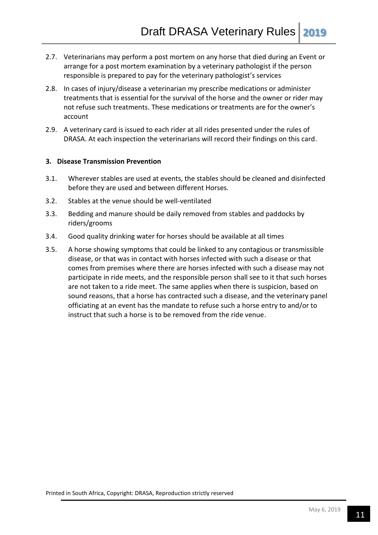- 2.7. Veterinarians may perform a post mortem on any horse that died during an Event or arrange for a post mortem examination by a veterinary pathologist if the person responsible is prepared to pay for the veterinary pathologist's services
- 2.8. In cases of injury/disease a veterinarian my prescribe medications or administer treatments that is essential for the survival of the horse and the owner or rider may not refuse such treatments. These medications or treatments are for the owner's account
- 2.9. A veterinary card is issued to each rider at all rides presented under the rules of DRASA. At each inspection the veterinarians will record their findings on this card.

#### **3. Disease Transmission Prevention**

- 3.1. Wherever stables are used at events, the stables should be cleaned and disinfected before they are used and between different Horses.
- 3.2. Stables at the venue should be well-ventilated
- 3.3. Bedding and manure should be daily removed from stables and paddocks by riders/grooms
- 3.4. Good quality drinking water for horses should be available at all times
- 3.5. A horse showing symptoms that could be linked to any contagious or transmissible disease, or that was in contact with horses infected with such a disease or that comes from premises where there are horses infected with such a disease may not participate in ride meets, and the responsible person shall see to it that such horses are not taken to a ride meet. The same applies when there is suspicion, based on sound reasons, that a horse has contracted such a disease, and the veterinary panel officiating at an event has the mandate to refuse such a horse entry to and/or to instruct that such a horse is to be removed from the ride venue.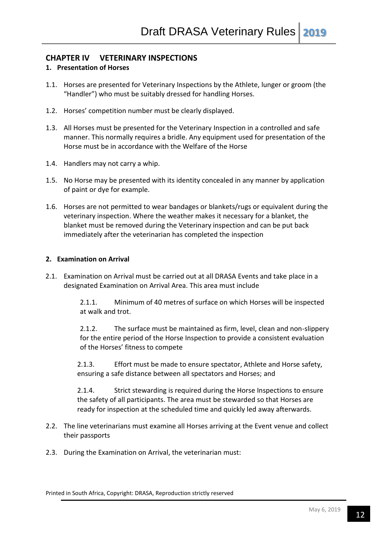# **CHAPTER IV VETERINARY INSPECTIONS**

## **1. Presentation of Horses**

- 1.1. Horses are presented for Veterinary Inspections by the Athlete, lunger or groom (the "Handler") who must be suitably dressed for handling Horses.
- 1.2. Horses' competition number must be clearly displayed.
- 1.3. All Horses must be presented for the Veterinary Inspection in a controlled and safe manner. This normally requires a bridle. Any equipment used for presentation of the Horse must be in accordance with the Welfare of the Horse
- 1.4. Handlers may not carry a whip.
- 1.5. No Horse may be presented with its identity concealed in any manner by application of paint or dye for example.
- 1.6. Horses are not permitted to wear bandages or blankets/rugs or equivalent during the veterinary inspection. Where the weather makes it necessary for a blanket, the blanket must be removed during the Veterinary inspection and can be put back immediately after the veterinarian has completed the inspection

#### **2. Examination on Arrival**

2.1. Examination on Arrival must be carried out at all DRASA Events and take place in a designated Examination on Arrival Area. This area must include

> 2.1.1. Minimum of 40 metres of surface on which Horses will be inspected at walk and trot.

2.1.2. The surface must be maintained as firm, level, clean and non-slippery for the entire period of the Horse Inspection to provide a consistent evaluation of the Horses' fitness to compete

2.1.3. Effort must be made to ensure spectator, Athlete and Horse safety, ensuring a safe distance between all spectators and Horses; and

2.1.4. Strict stewarding is required during the Horse Inspections to ensure the safety of all participants. The area must be stewarded so that Horses are ready for inspection at the scheduled time and quickly led away afterwards.

- 2.2. The line veterinarians must examine all Horses arriving at the Event venue and collect their passports
- 2.3. During the Examination on Arrival, the veterinarian must: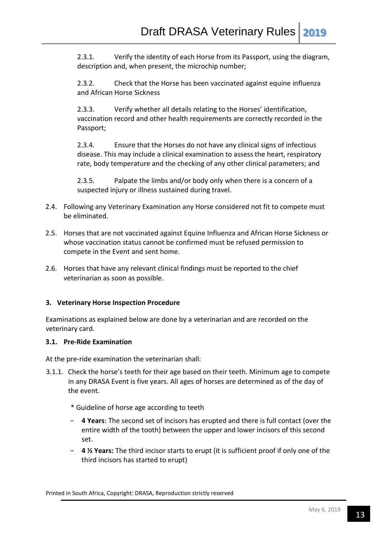2.3.1. Verify the identity of each Horse from its Passport, using the diagram, description and, when present, the microchip number;

2.3.2. Check that the Horse has been vaccinated against equine influenza and African Horse Sickness

2.3.3. Verify whether all details relating to the Horses' identification, vaccination record and other health requirements are correctly recorded in the Passport;

2.3.4. Ensure that the Horses do not have any clinical signs of infectious disease. This may include a clinical examination to assess the heart, respiratory rate, body temperature and the checking of any other clinical parameters; and

2.3.5. Palpate the limbs and/or body only when there is a concern of a suspected injury or illness sustained during travel.

- 2.4. Following any Veterinary Examination any Horse considered not fit to compete must be eliminated.
- 2.5. Horses that are not vaccinated against Equine Influenza and African Horse Sickness or whose vaccination status cannot be confirmed must be refused permission to compete in the Event and sent home.
- 2.6. Horses that have any relevant clinical findings must be reported to the chief veterinarian as soon as possible.

# **3. Veterinary Horse Inspection Procedure**

Examinations as explained below are done by a veterinarian and are recorded on the veterinary card.

#### **3.1. Pre-Ride Examination**

At the pre-ride examination the veterinarian shall:

- 3.1.1. Check the horse's teeth for their age based on their teeth. Minimum age to compete in any DRASA Event is five years. All ages of horses are determined as of the day of the event.
	- \* Guideline of horse age according to teeth
	- − **4 Years**: The second set of incisors has erupted and there is full contact (over the entire width of the tooth) between the upper and lower incisors of this second set.
	- − **4 ½ Years:** The third incisor starts to erupt (it is sufficient proof if only one of the third incisors has started to erupt)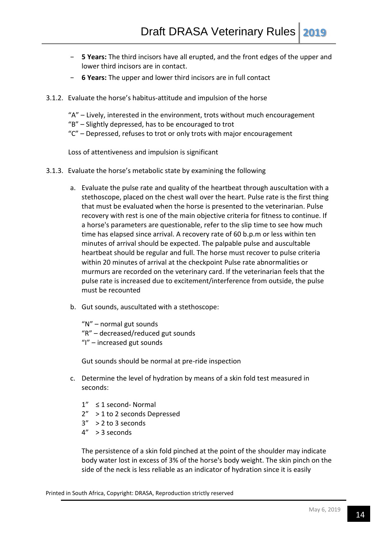- − **5 Years:** The third incisors have all erupted, and the front edges of the upper and lower third incisors are in contact.
- − **6 Years:** The upper and lower third incisors are in full contact
- 3.1.2. Evaluate the horse's habitus-attitude and impulsion of the horse
	- "A" Lively, interested in the environment, trots without much encouragement
	- "B" Slightly depressed, has to be encouraged to trot
	- "C" Depressed, refuses to trot or only trots with major encouragement

Loss of attentiveness and impulsion is significant

- 3.1.3. Evaluate the horse's metabolic state by examining the following
	- a. Evaluate the pulse rate and quality of the heartbeat through auscultation with a stethoscope, placed on the chest wall over the heart. Pulse rate is the first thing that must be evaluated when the horse is presented to the veterinarian. Pulse recovery with rest is one of the main objective criteria for fitness to continue. If a horse's parameters are questionable, refer to the slip time to see how much time has elapsed since arrival. A recovery rate of 60 b.p.m or less within ten minutes of arrival should be expected. The palpable pulse and auscultable heartbeat should be regular and full. The horse must recover to pulse criteria within 20 minutes of arrival at the checkpoint Pulse rate abnormalities or murmurs are recorded on the veterinary card. If the veterinarian feels that the pulse rate is increased due to excitement/interference from outside, the pulse must be recounted
	- b. Gut sounds, auscultated with a stethoscope:

"N" – normal gut sounds "R" – decreased/reduced gut sounds "I" – increased gut sounds

Gut sounds should be normal at pre-ride inspection

- c. Determine the level of hydration by means of a skin fold test measured in seconds:
	- 1" ≤ 1 second- Normal
	- 2" > 1 to 2 seconds Depressed
	- $3''$  > 2 to 3 seconds
	- 4" > 3 seconds

The persistence of a skin fold pinched at the point of the shoulder may indicate body water lost in excess of 3% of the horse's body weight. The skin pinch on the side of the neck is less reliable as an indicator of hydration since it is easily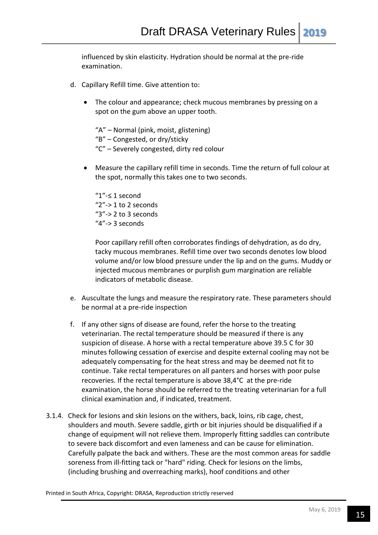influenced by skin elasticity. Hydration should be normal at the pre-ride examination.

- d. Capillary Refill time. Give attention to:
	- The colour and appearance; check mucous membranes by pressing on a spot on the gum above an upper tooth.

"A" – Normal (pink, moist, glistening) "B" – Congested, or dry/sticky "C" – Severely congested, dirty red colour

 Measure the capillary refill time in seconds. Time the return of full colour at the spot, normally this takes one to two seconds.

"1"-≤ 1 second "2"-> 1 to 2 seconds " $3"$ -> 2 to 3 seconds  $4"$ -> 3 seconds

Poor capillary refill often corroborates findings of dehydration, as do dry, tacky mucous membranes. Refill time over two seconds denotes low blood volume and/or low blood pressure under the lip and on the gums. Muddy or injected mucous membranes or purplish gum margination are reliable indicators of metabolic disease.

- e. Auscultate the lungs and measure the respiratory rate. These parameters should be normal at a pre-ride inspection
- f. If any other signs of disease are found, refer the horse to the treating veterinarian. The rectal temperature should be measured if there is any suspicion of disease. A horse with a rectal temperature above 39.5 C for 30 minutes following cessation of exercise and despite external cooling may not be adequately compensating for the heat stress and may be deemed not fit to continue. Take rectal temperatures on all panters and horses with poor pulse recoveries. If the rectal temperature is above 38,4°C at the pre-ride examination, the horse should be referred to the treating veterinarian for a full clinical examination and, if indicated, treatment.
- 3.1.4. Check for lesions and skin lesions on the withers, back, loins, rib cage, chest, shoulders and mouth. Severe saddle, girth or bit injuries should be disqualified if a change of equipment will not relieve them. Improperly fitting saddles can contribute to severe back discomfort and even lameness and can be cause for elimination. Carefully palpate the back and withers. These are the most common areas for saddle soreness from ill-fitting tack or "hard" riding. Check for lesions on the limbs, (including brushing and overreaching marks), hoof conditions and other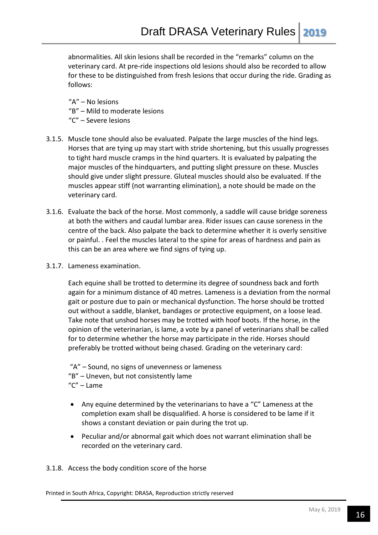abnormalities. All skin lesions shall be recorded in the "remarks" column on the veterinary card. At pre-ride inspections old lesions should also be recorded to allow for these to be distinguished from fresh lesions that occur during the ride. Grading as follows:

"A" – No lesions "B" – Mild to moderate lesions "C" – Severe lesions

- 3.1.5. Muscle tone should also be evaluated. Palpate the large muscles of the hind legs. Horses that are tying up may start with stride shortening, but this usually progresses to tight hard muscle cramps in the hind quarters. It is evaluated by palpating the major muscles of the hindquarters, and putting slight pressure on these. Muscles should give under slight pressure. Gluteal muscles should also be evaluated. If the muscles appear stiff (not warranting elimination), a note should be made on the veterinary card.
- 3.1.6. Evaluate the back of the horse. Most commonly, a saddle will cause bridge soreness at both the withers and caudal lumbar area. Rider issues can cause soreness in the centre of the back. Also palpate the back to determine whether it is overly sensitive or painful. . Feel the muscles lateral to the spine for areas of hardness and pain as this can be an area where we find signs of tying up.
- 3.1.7. Lameness examination.

Each equine shall be trotted to determine its degree of soundness back and forth again for a minimum distance of 40 metres. Lameness is a deviation from the normal gait or posture due to pain or mechanical dysfunction. The horse should be trotted out without a saddle, blanket, bandages or protective equipment, on a loose lead. Take note that unshod horses may be trotted with hoof boots. If the horse, in the opinion of the veterinarian, is lame, a vote by a panel of veterinarians shall be called for to determine whether the horse may participate in the ride. Horses should preferably be trotted without being chased. Grading on the veterinary card:

- "A" Sound, no signs of unevenness or lameness "B" – Uneven, but not consistently lame
- "C" Lame
- Any equine determined by the veterinarians to have a "C" Lameness at the completion exam shall be disqualified. A horse is considered to be lame if it shows a constant deviation or pain during the trot up.
- Peculiar and/or abnormal gait which does not warrant elimination shall be recorded on the veterinary card.

3.1.8. Access the body condition score of the horse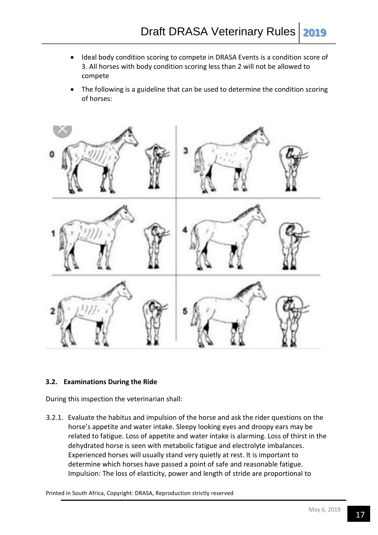- Ideal body condition scoring to compete in DRASA Events is a condition score of 3. All horses with body condition scoring less than 2 will not be allowed to compete
- The following is a guideline that can be used to determine the condition scoring of horses:



# **3.2. Examinations During the Ride**

During this inspection the veterinarian shall:

3.2.1. Evaluate the habitus and impulsion of the horse and ask the rider questions on the horse's appetite and water intake. Sleepy looking eyes and droopy ears may be related to fatigue. Loss of appetite and water intake is alarming. Loss of thirst in the dehydrated horse is seen with metabolic fatigue and electrolyte imbalances. Experienced horses will usually stand very quietly at rest. It is important to determine which horses have passed a point of safe and reasonable fatigue. Impulsion: The loss of elasticity, power and length of stride are proportional to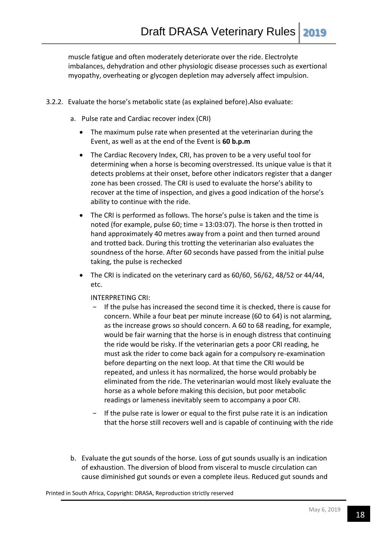muscle fatigue and often moderately deteriorate over the ride. Electrolyte imbalances, dehydration and other physiologic disease processes such as exertional myopathy, overheating or glycogen depletion may adversely affect impulsion.

- 3.2.2. Evaluate the horse's metabolic state (as explained before).Also evaluate:
	- a. Pulse rate and Cardiac recover index (CRI)
		- The maximum pulse rate when presented at the veterinarian during the Event, as well as at the end of the Event is **60 b.p.m**
		- The Cardiac Recovery Index, CRI, has proven to be a very useful tool for determining when a horse is becoming overstressed. Its unique value is that it detects problems at their onset, before other indicators register that a danger zone has been crossed. The CRI is used to evaluate the horse's ability to recover at the time of inspection, and gives a good indication of the horse's ability to continue with the ride.
		- The CRI is performed as follows. The horse's pulse is taken and the time is noted (for example, pulse 60; time = 13:03:07). The horse is then trotted in hand approximately 40 metres away from a point and then turned around and trotted back. During this trotting the veterinarian also evaluates the soundness of the horse. After 60 seconds have passed from the initial pulse taking, the pulse is rechecked
		- The CRI is indicated on the veterinary card as 60/60, 56/62, 48/52 or 44/44, etc.

#### INTERPRETING CRI:

- If the pulse has increased the second time it is checked, there is cause for concern. While a four beat per minute increase (60 to 64) is not alarming, as the increase grows so should concern. A 60 to 68 reading, for example, would be fair warning that the horse is in enough distress that continuing the ride would be risky. If the veterinarian gets a poor CRI reading, he must ask the rider to come back again for a compulsory re-examination before departing on the next loop. At that time the CRI would be repeated, and unless it has normalized, the horse would probably be eliminated from the ride. The veterinarian would most likely evaluate the horse as a whole before making this decision, but poor metabolic readings or lameness inevitably seem to accompany a poor CRI.
- If the pulse rate is lower or equal to the first pulse rate it is an indication that the horse still recovers well and is capable of continuing with the ride
- b. Evaluate the gut sounds of the horse. Loss of gut sounds usually is an indication of exhaustion. The diversion of blood from visceral to muscle circulation can cause diminished gut sounds or even a complete ileus. Reduced gut sounds and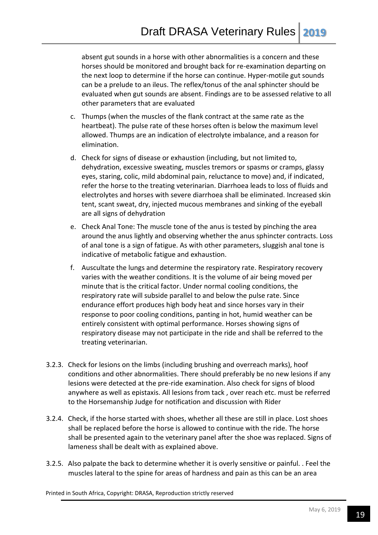absent gut sounds in a horse with other abnormalities is a concern and these horses should be monitored and brought back for re-examination departing on the next loop to determine if the horse can continue. Hyper-motile gut sounds can be a prelude to an ileus. The reflex/tonus of the anal sphincter should be evaluated when gut sounds are absent. Findings are to be assessed relative to all other parameters that are evaluated

- c. Thumps (when the muscles of the flank contract at the same rate as the heartbeat). The pulse rate of these horses often is below the maximum level allowed. Thumps are an indication of electrolyte imbalance, and a reason for elimination.
- d. Check for signs of disease or exhaustion (including, but not limited to, dehydration, excessive sweating, muscles tremors or spasms or cramps, glassy eyes, staring, colic, mild abdominal pain, reluctance to move) and, if indicated, refer the horse to the treating veterinarian. Diarrhoea leads to loss of fluids and electrolytes and horses with severe diarrhoea shall be eliminated. Increased skin tent, scant sweat, dry, injected mucous membranes and sinking of the eyeball are all signs of dehydration
- e. Check Anal Tone: The muscle tone of the anus is tested by pinching the area around the anus lightly and observing whether the anus sphincter contracts. Loss of anal tone is a sign of fatigue. As with other parameters, sluggish anal tone is indicative of metabolic fatigue and exhaustion.
- f. Auscultate the lungs and determine the respiratory rate. Respiratory recovery varies with the weather conditions. It is the volume of air being moved per minute that is the critical factor. Under normal cooling conditions, the respiratory rate will subside parallel to and below the pulse rate. Since endurance effort produces high body heat and since horses vary in their response to poor cooling conditions, panting in hot, humid weather can be entirely consistent with optimal performance. Horses showing signs of respiratory disease may not participate in the ride and shall be referred to the treating veterinarian.
- 3.2.3. Check for lesions on the limbs (including brushing and overreach marks), hoof conditions and other abnormalities. There should preferably be no new lesions if any lesions were detected at the pre-ride examination. Also check for signs of blood anywhere as well as epistaxis. All lesions from tack , over reach etc. must be referred to the Horsemanship Judge for notification and discussion with Rider
- 3.2.4. Check, if the horse started with shoes, whether all these are still in place. Lost shoes shall be replaced before the horse is allowed to continue with the ride. The horse shall be presented again to the veterinary panel after the shoe was replaced. Signs of lameness shall be dealt with as explained above.
- 3.2.5. Also palpate the back to determine whether it is overly sensitive or painful. . Feel the muscles lateral to the spine for areas of hardness and pain as this can be an area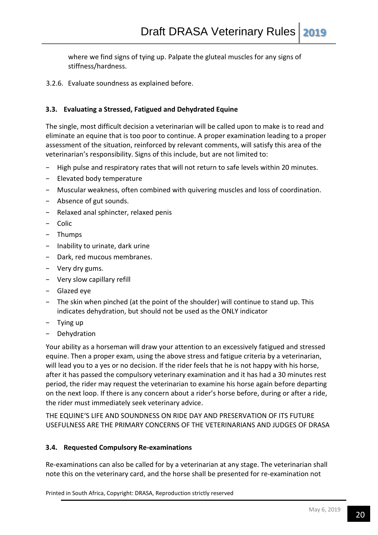where we find signs of tying up. Palpate the gluteal muscles for any signs of stiffness/hardness.

3.2.6. Evaluate soundness as explained before.

## **3.3. Evaluating a Stressed, Fatigued and Dehydrated Equine**

The single, most difficult decision a veterinarian will be called upon to make is to read and eliminate an equine that is too poor to continue. A proper examination leading to a proper assessment of the situation, reinforced by relevant comments, will satisfy this area of the veterinarian's responsibility. Signs of this include, but are not limited to:

- − High pulse and respiratory rates that will not return to safe levels within 20 minutes.
- − Elevated body temperature
- − Muscular weakness, often combined with quivering muscles and loss of coordination.
- − Absence of gut sounds.
- − Relaxed anal sphincter, relaxed penis
- − Colic
- − Thumps
- − Inability to urinate, dark urine
- − Dark, red mucous membranes.
- − Very dry gums.
- − Very slow capillary refill
- − Glazed eye
- − The skin when pinched (at the point of the shoulder) will continue to stand up. This indicates dehydration, but should not be used as the ONLY indicator
- − Tying up
- − Dehydration

Your ability as a horseman will draw your attention to an excessively fatigued and stressed equine. Then a proper exam, using the above stress and fatigue criteria by a veterinarian, will lead you to a yes or no decision. If the rider feels that he is not happy with his horse, after it has passed the compulsory veterinary examination and it has had a 30 minutes rest period, the rider may request the veterinarian to examine his horse again before departing on the next loop. If there is any concern about a rider's horse before, during or after a ride, the rider must immediately seek veterinary advice.

THE EQUINE'S LIFE AND SOUNDNESS ON RIDE DAY AND PRESERVATION OF ITS FUTURE USEFULNESS ARE THE PRIMARY CONCERNS OF THE VETERINARIANS AND JUDGES OF DRASA

#### **3.4. Requested Compulsory Re-examinations**

Re-examinations can also be called for by a veterinarian at any stage. The veterinarian shall note this on the veterinary card, and the horse shall be presented for re-examination not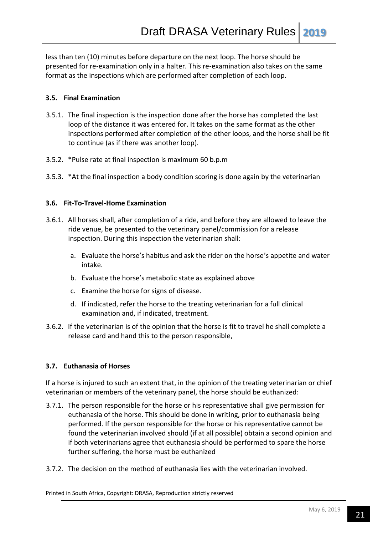less than ten (10) minutes before departure on the next loop. The horse should be presented for re-examination only in a halter. This re-examination also takes on the same format as the inspections which are performed after completion of each loop.

## **3.5. Final Examination**

- 3.5.1. The final inspection is the inspection done after the horse has completed the last loop of the distance it was entered for. It takes on the same format as the other inspections performed after completion of the other loops, and the horse shall be fit to continue (as if there was another loop).
- 3.5.2. \*Pulse rate at final inspection is maximum 60 b.p.m
- 3.5.3. \*At the final inspection a body condition scoring is done again by the veterinarian

## **3.6. Fit-To-Travel-Home Examination**

- 3.6.1. All horses shall, after completion of a ride, and before they are allowed to leave the ride venue, be presented to the veterinary panel/commission for a release inspection. During this inspection the veterinarian shall:
	- a. Evaluate the horse's habitus and ask the rider on the horse's appetite and water intake.
	- b. Evaluate the horse's metabolic state as explained above
	- c. Examine the horse for signs of disease.
	- d. If indicated, refer the horse to the treating veterinarian for a full clinical examination and, if indicated, treatment.
- 3.6.2. If the veterinarian is of the opinion that the horse is fit to travel he shall complete a release card and hand this to the person responsible,

# **3.7. Euthanasia of Horses**

If a horse is injured to such an extent that, in the opinion of the treating veterinarian or chief veterinarian or members of the veterinary panel, the horse should be euthanized:

- 3.7.1. The person responsible for the horse or his representative shall give permission for euthanasia of the horse. This should be done in writing, prior to euthanasia being performed. If the person responsible for the horse or his representative cannot be found the veterinarian involved should (if at all possible) obtain a second opinion and if both veterinarians agree that euthanasia should be performed to spare the horse further suffering, the horse must be euthanized
- 3.7.2. The decision on the method of euthanasia lies with the veterinarian involved.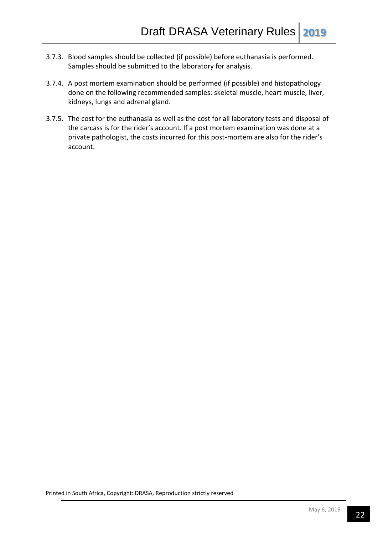- 3.7.3. Blood samples should be collected (if possible) before euthanasia is performed. Samples should be submitted to the laboratory for analysis.
- 3.7.4. A post mortem examination should be performed (if possible) and histopathology done on the following recommended samples: skeletal muscle, heart muscle, liver, kidneys, lungs and adrenal gland.
- 3.7.5. The cost for the euthanasia as well as the cost for all laboratory tests and disposal of the carcass is for the rider's account. If a post mortem examination was done at a private pathologist, the costs incurred for this post-mortem are also for the rider's account.